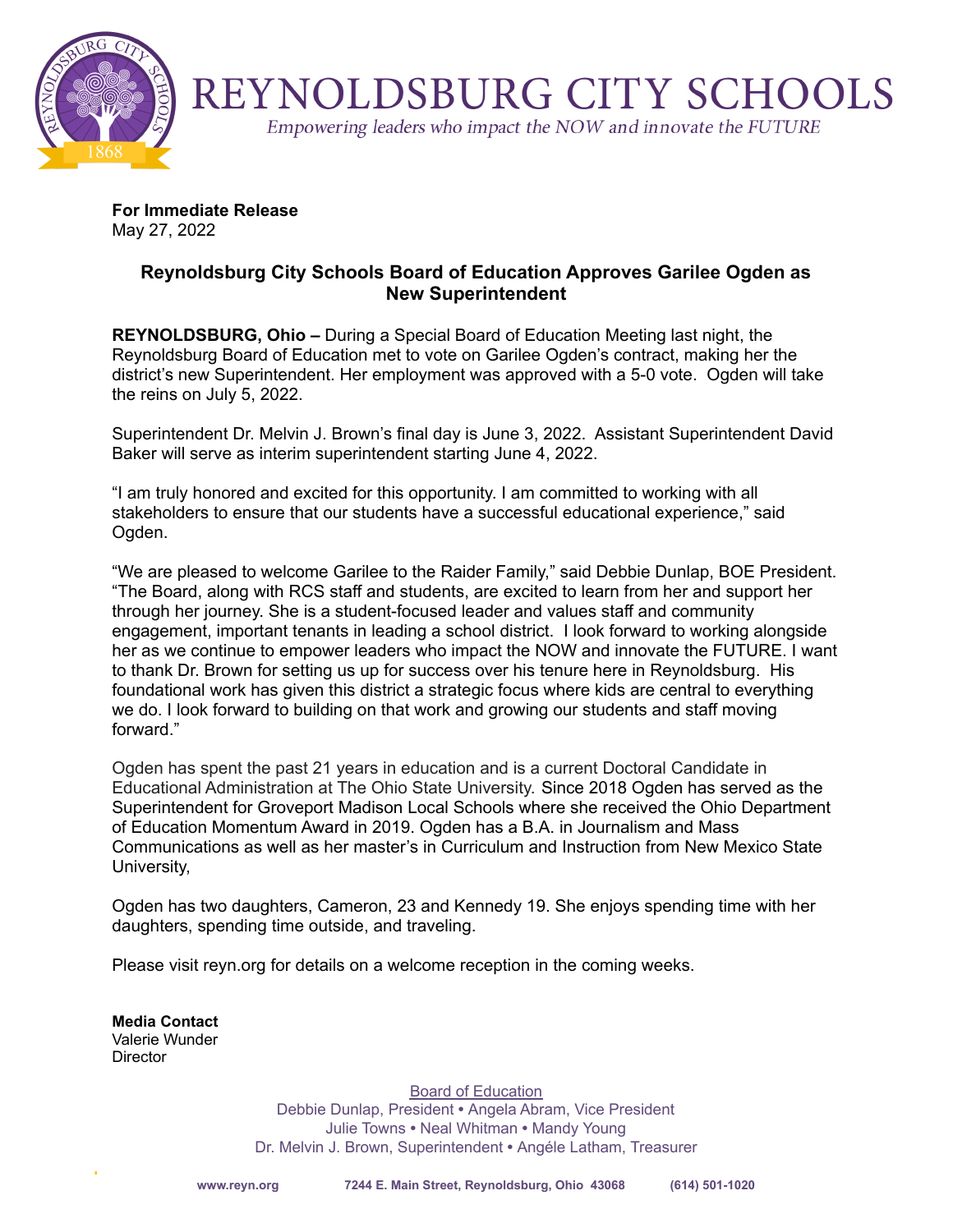

REYNOLDSBURG CITY SCHOOLS

Empowering leaders who impact the NOW and innovate the FUTURE

**For Immediate Release** May 27, 2022

## **Reynoldsburg City Schools Board of Education Approves Garilee Ogden as New Superintendent**

**REYNOLDSBURG, Ohio –** During a Special Board of Education Meeting last night, the Reynoldsburg Board of Education met to vote on Garilee Ogden's contract, making her the district's new Superintendent. Her employment was approved with a 5-0 vote. Ogden will take the reins on July 5, 2022.

Superintendent Dr. Melvin J. Brown's final day is June 3, 2022. Assistant Superintendent David Baker will serve as interim superintendent starting June 4, 2022.

"I am truly honored and excited for this opportunity. I am committed to working with all stakeholders to ensure that our students have a successful educational experience," said Ogden.

"We are pleased to welcome Garilee to the Raider Family," said Debbie Dunlap, BOE President. "The Board, along with RCS staff and students, are excited to learn from her and support her through her journey. She is a student-focused leader and values staff and community engagement, important tenants in leading a school district. I look forward to working alongside her as we continue to empower leaders who impact the NOW and innovate the FUTURE. I want to thank Dr. Brown for setting us up for success over his tenure here in Reynoldsburg. His foundational work has given this district a strategic focus where kids are central to everything we do. I look forward to building on that work and growing our students and staff moving forward."

Ogden has spent the past 21 years in education and is a current Doctoral Candidate in Educational Administration at The Ohio State University. Since 2018 Ogden has served as the Superintendent for Groveport Madison Local Schools where she received the Ohio Department of Education Momentum Award in 2019. Ogden has a B.A. in Journalism and Mass Communications as well as her master's in Curriculum and Instruction from New Mexico State University,

Ogden has two daughters, Cameron, 23 and Kennedy 19. She enjoys spending time with her daughters, spending time outside, and traveling.

Please visit reyn.org for details on a welcome reception in the coming weeks.

**Media Contact** Valerie Wunder **Director** 

> Board of Education Debbie Dunlap, President **•** Angela Abram, Vice President Julie Towns **•** Neal Whitman **•** Mandy Young Dr. Melvin J. Brown, Superintendent **•** Angéle Latham, Treasurer